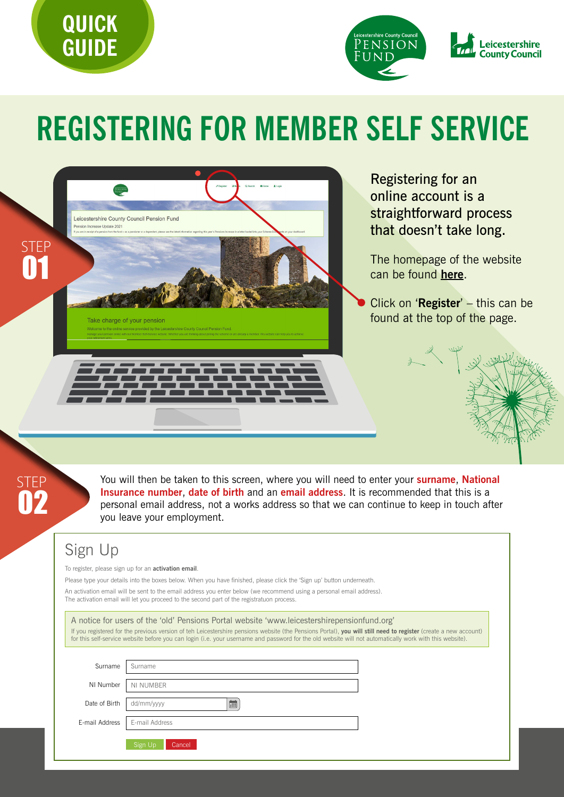



# **REGISTERING FOR MEMBER SELF SERVICE**



Registering for an online account is a straightforward process that doesn't take long.

The homepage of the website can be found **[here](https://leicsmss.pensiondetails.co.uk/)**.

Click on '**Register**' – this can be found at the top of the page.



STEP 02

You will then be taken to this screen, where you will need to enter your **surname**, **National Insurance number**, **date of birth** and an **email address**. It is recommended that this is a personal email address, not a works address so that we can continue to keep in touch after you leave your employment.

### Sign Up

To register, please sign up for an **activation email**.

Please type your details into the boxes below. When you have finished, please click the 'Sign up' button underneath.

An activation email will be sent to the email address you enter below (we recommend using a personal email address). The activation email will let you proceed to the second part of the registratuon process.

|                | A notice for users of the 'old' Pensions Portal website 'www.leicestershirepensionfund.org'<br>If you registered for the previous version of teh Leicestershire pensions website (the Pensions Portal), you will still need to register (create a new account)<br>for this self-service website before you can login (i.e. your username and password for the old website will not automatically work with this website). |  |
|----------------|---------------------------------------------------------------------------------------------------------------------------------------------------------------------------------------------------------------------------------------------------------------------------------------------------------------------------------------------------------------------------------------------------------------------------|--|
|                |                                                                                                                                                                                                                                                                                                                                                                                                                           |  |
| Surname        | Surname                                                                                                                                                                                                                                                                                                                                                                                                                   |  |
| NI Number      | NI NUMBER                                                                                                                                                                                                                                                                                                                                                                                                                 |  |
| Date of Birth  | <b>E</b><br>dd/mm/yyyy                                                                                                                                                                                                                                                                                                                                                                                                    |  |
| E-mail Address | E-mail Address                                                                                                                                                                                                                                                                                                                                                                                                            |  |
|                | Sign Up<br>Cancel                                                                                                                                                                                                                                                                                                                                                                                                         |  |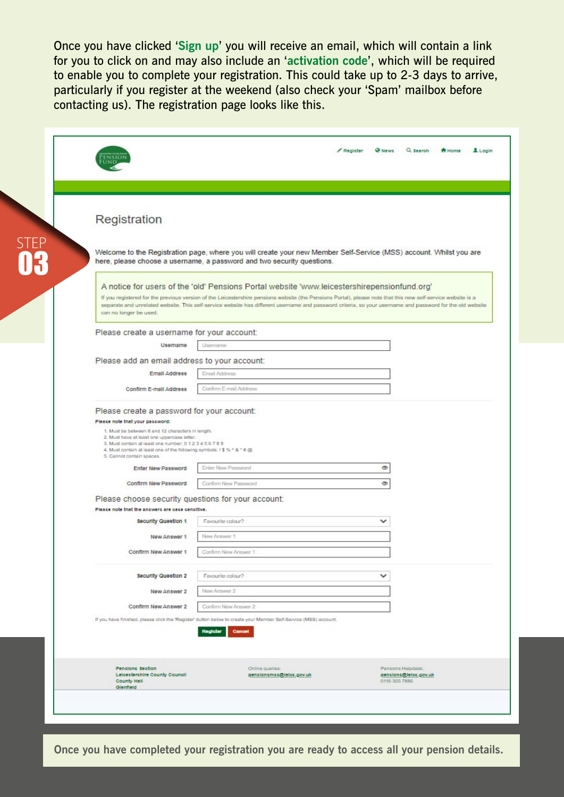Once you have clicked '**Sign up**' you will receive an email, which will contain a link for you to click on and may also include an '**activation code**', which will be required to enable you to complete your registration. This could take up to 2-3 days to arrive, particularly if you register at the weekend (also check your 'Spam' mailbox before contacting us). The registration page looks like this.

| Registration                                                                                                                                                                                                    |                                                                                                                                                                                                                                                                                                                                                                                                                          |              |
|-----------------------------------------------------------------------------------------------------------------------------------------------------------------------------------------------------------------|--------------------------------------------------------------------------------------------------------------------------------------------------------------------------------------------------------------------------------------------------------------------------------------------------------------------------------------------------------------------------------------------------------------------------|--------------|
|                                                                                                                                                                                                                 | Welcome to the Registration page, where you will create your new Member Self-Service (MSS) account. Whilst you are<br>here, please choose a username, a password and two security questions.                                                                                                                                                                                                                             |              |
|                                                                                                                                                                                                                 | A notice for users of the 'old' Pensions Portal website 'www.leicestershirepensionfund.org'<br>If you registered for the previous version of the Leicestershire pensions website (the Pensions Portal), please note that this new self-service website is a<br>separate and unrelated website. This self-service website has different username and password criteria, so your username and password for the old website |              |
| can no longer be used.                                                                                                                                                                                          |                                                                                                                                                                                                                                                                                                                                                                                                                          |              |
| Please create a username for your account:                                                                                                                                                                      |                                                                                                                                                                                                                                                                                                                                                                                                                          |              |
| Usemame                                                                                                                                                                                                         | Username                                                                                                                                                                                                                                                                                                                                                                                                                 |              |
|                                                                                                                                                                                                                 |                                                                                                                                                                                                                                                                                                                                                                                                                          |              |
| Please add an email address to your account:                                                                                                                                                                    |                                                                                                                                                                                                                                                                                                                                                                                                                          |              |
| <b>Email Address</b>                                                                                                                                                                                            | Email Address                                                                                                                                                                                                                                                                                                                                                                                                            |              |
| Confirm E-mail Address                                                                                                                                                                                          | Confirm E-mail Address                                                                                                                                                                                                                                                                                                                                                                                                   |              |
| 2. Must have at least one uppercase letter.<br>3. Must contain at least one number: 0 1 2 3 4 5 6 7 8 9<br>4. Must contain at least one of the following symbols: ! \$ % ^ & " # @<br>5. Cannot contain spaces. |                                                                                                                                                                                                                                                                                                                                                                                                                          |              |
| Enter New Password                                                                                                                                                                                              | Enter New Password                                                                                                                                                                                                                                                                                                                                                                                                       | ⊛            |
| Confirm New Password                                                                                                                                                                                            | Confirm New Password                                                                                                                                                                                                                                                                                                                                                                                                     | $\circ$      |
| Please choose security questions for your account:                                                                                                                                                              |                                                                                                                                                                                                                                                                                                                                                                                                                          |              |
| Please note that the answers are case sensitive.                                                                                                                                                                |                                                                                                                                                                                                                                                                                                                                                                                                                          |              |
| <b>Security Question 1</b>                                                                                                                                                                                      | Favourite colour?                                                                                                                                                                                                                                                                                                                                                                                                        | v            |
| New Answer 1                                                                                                                                                                                                    | New Answer 1                                                                                                                                                                                                                                                                                                                                                                                                             |              |
| Confirm New Answer 1                                                                                                                                                                                            | Confirm New Answer 1                                                                                                                                                                                                                                                                                                                                                                                                     |              |
|                                                                                                                                                                                                                 |                                                                                                                                                                                                                                                                                                                                                                                                                          |              |
| Security Question 2                                                                                                                                                                                             | Favourite colour?                                                                                                                                                                                                                                                                                                                                                                                                        | $\checkmark$ |
| New Answer 2                                                                                                                                                                                                    | New Answer 2                                                                                                                                                                                                                                                                                                                                                                                                             |              |
| Confirm New Answer 2                                                                                                                                                                                            | Confirm New Answer 2                                                                                                                                                                                                                                                                                                                                                                                                     |              |
|                                                                                                                                                                                                                 | If you have finished, please click the 'Register' button below to create your Member Self-Service (MSS) account.<br>Register<br>Cancel                                                                                                                                                                                                                                                                                   |              |
|                                                                                                                                                                                                                 |                                                                                                                                                                                                                                                                                                                                                                                                                          |              |

**Once you have completed your registration you are ready to access all your pension details.**